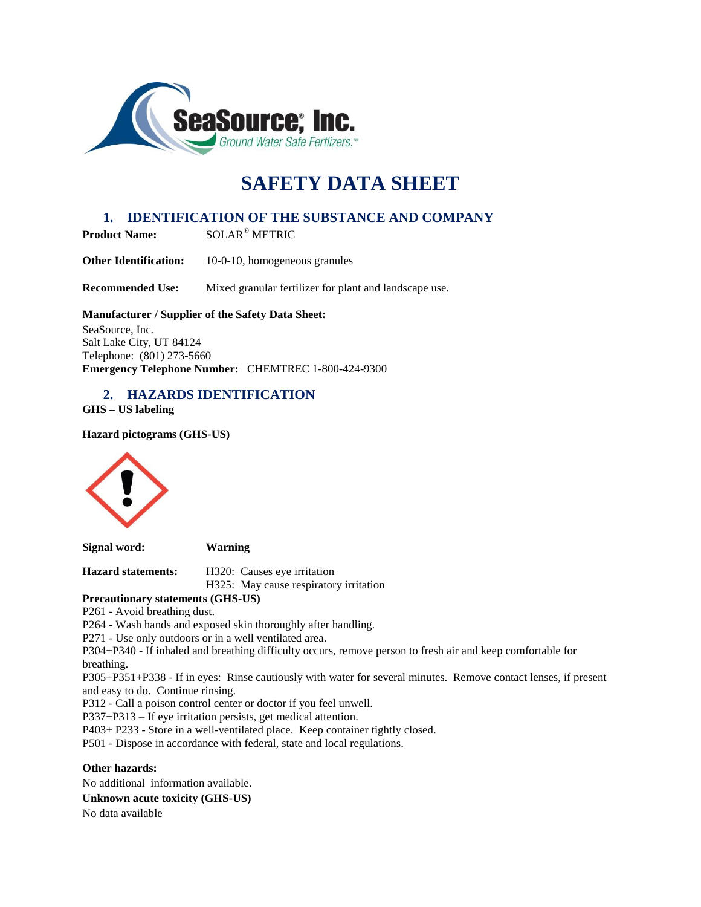

# **SAFETY DATA SHEET**

# **1. IDENTIFICATION OF THE SUBSTANCE AND COMPANY**

**Product Name:** SOLAR® METRIC

**Other Identification:** 10-0-10, homogeneous granules

**Recommended Use:** Mixed granular fertilizer for plant and landscape use.

#### **Manufacturer / Supplier of the Safety Data Sheet:**

SeaSource, Inc. Salt Lake City, UT 84124 Telephone: (801) 273-5660 **Emergency Telephone Number:** CHEMTREC 1-800-424-9300

# **2. HAZARDS IDENTIFICATION**

**GHS – US labeling**

**Hazard pictograms (GHS-US)**



**Signal word: Warning** 

**Hazard statements:** H320: Causes eye irritation

H325: May cause respiratory irritation

**Precautionary statements (GHS-US)**

P261 - Avoid breathing dust.

P264 - Wash hands and exposed skin thoroughly after handling.

P271 - Use only outdoors or in a well ventilated area.

P304+P340 - If inhaled and breathing difficulty occurs, remove person to fresh air and keep comfortable for breathing.

P305+P351+P338 - If in eyes: Rinse cautiously with water for several minutes. Remove contact lenses, if present and easy to do. Continue rinsing.

P312 - Call a poison control center or doctor if you feel unwell.

P337+P313 – If eye irritation persists, get medical attention.

P403+ P233 - Store in a well-ventilated place. Keep container tightly closed.

P501 - Dispose in accordance with federal, state and local regulations.

**Other hazards:** 

No additional information available.

**Unknown acute toxicity (GHS-US)**

No data available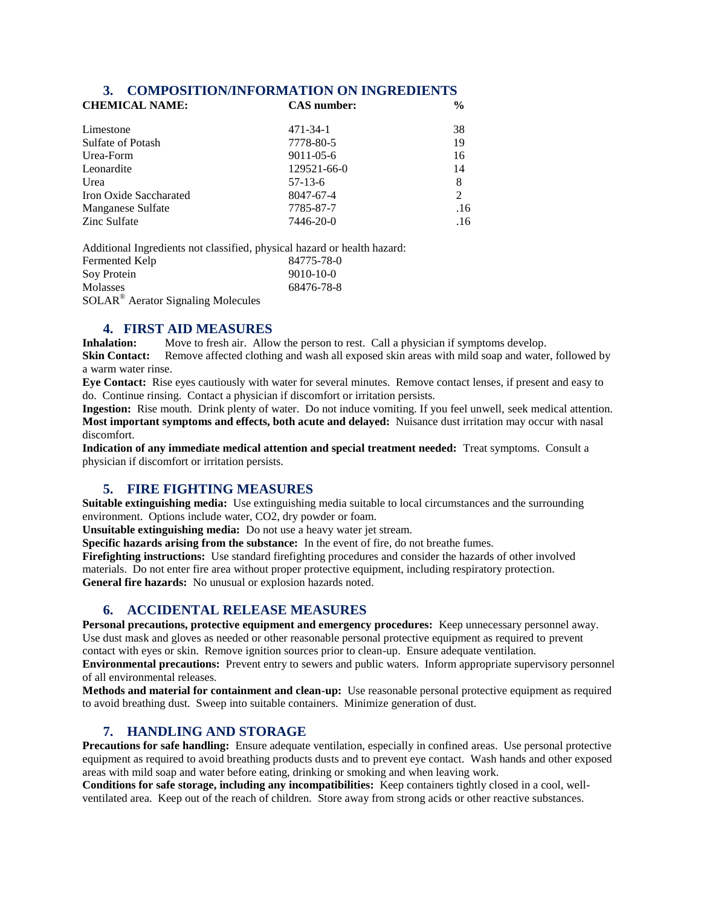#### **3. COMPOSITION/INFORMATION ON INGREDIENTS**

| <b>CHEMICAL NAME:</b>  | <b>CAS</b> number: | $\frac{6}{9}$               |
|------------------------|--------------------|-----------------------------|
| Limestone              | $471 - 34 - 1$     | 38                          |
| Sulfate of Potash      | 7778-80-5          | 19                          |
| Urea-Form              | $9011 - 05 - 6$    | 16                          |
| Leonardite             | 129521-66-0        | 14                          |
| Urea                   | $57-13-6$          | 8                           |
| Iron Oxide Saccharated | 8047-67-4          | $\mathcal{D}_{\mathcal{L}}$ |
| Manganese Sulfate      | 7785-87-7          | .16                         |
| Zinc Sulfate           | 7446-20-0          | .16                         |

Additional Ingredients not classified, physical hazard or health hazard: Fermented Kelp 84775-78-0 Soy Protein 9010-10-0 Molasses 68476-78-8

SOLAR® Aerator Signaling Molecules

# **4. FIRST AID MEASURES**

**Inhalation:** Move to fresh air. Allow the person to rest. Call a physician if symptoms develop.

**Skin Contact:** Remove affected clothing and wash all exposed skin areas with mild soap and water, followed by a warm water rinse.

**Eye Contact:** Rise eyes cautiously with water for several minutes. Remove contact lenses, if present and easy to do. Continue rinsing. Contact a physician if discomfort or irritation persists.

**Ingestion:** Rise mouth. Drink plenty of water. Do not induce vomiting. If you feel unwell, seek medical attention. **Most important symptoms and effects, both acute and delayed:** Nuisance dust irritation may occur with nasal discomfort.

**Indication of any immediate medical attention and special treatment needed:** Treat symptoms. Consult a physician if discomfort or irritation persists.

# **5. FIRE FIGHTING MEASURES**

**Suitable extinguishing media:** Use extinguishing media suitable to local circumstances and the surrounding environment. Options include water, CO2, dry powder or foam.

**Unsuitable extinguishing media:** Do not use a heavy water jet stream.

**Specific hazards arising from the substance:** In the event of fire, do not breathe fumes.

**Firefighting instructions:** Use standard firefighting procedures and consider the hazards of other involved materials. Do not enter fire area without proper protective equipment, including respiratory protection. **General fire hazards:** No unusual or explosion hazards noted.

# **6. ACCIDENTAL RELEASE MEASURES**

**Personal precautions, protective equipment and emergency procedures:** Keep unnecessary personnel away. Use dust mask and gloves as needed or other reasonable personal protective equipment as required to prevent contact with eyes or skin. Remove ignition sources prior to clean-up. Ensure adequate ventilation.

**Environmental precautions:** Prevent entry to sewers and public waters. Inform appropriate supervisory personnel of all environmental releases.

**Methods and material for containment and clean-up:** Use reasonable personal protective equipment as required to avoid breathing dust. Sweep into suitable containers. Minimize generation of dust.

# **7. HANDLING AND STORAGE**

**Precautions for safe handling:** Ensure adequate ventilation, especially in confined areas. Use personal protective equipment as required to avoid breathing products dusts and to prevent eye contact. Wash hands and other exposed areas with mild soap and water before eating, drinking or smoking and when leaving work.

**Conditions for safe storage, including any incompatibilities:** Keep containers tightly closed in a cool, wellventilated area. Keep out of the reach of children. Store away from strong acids or other reactive substances.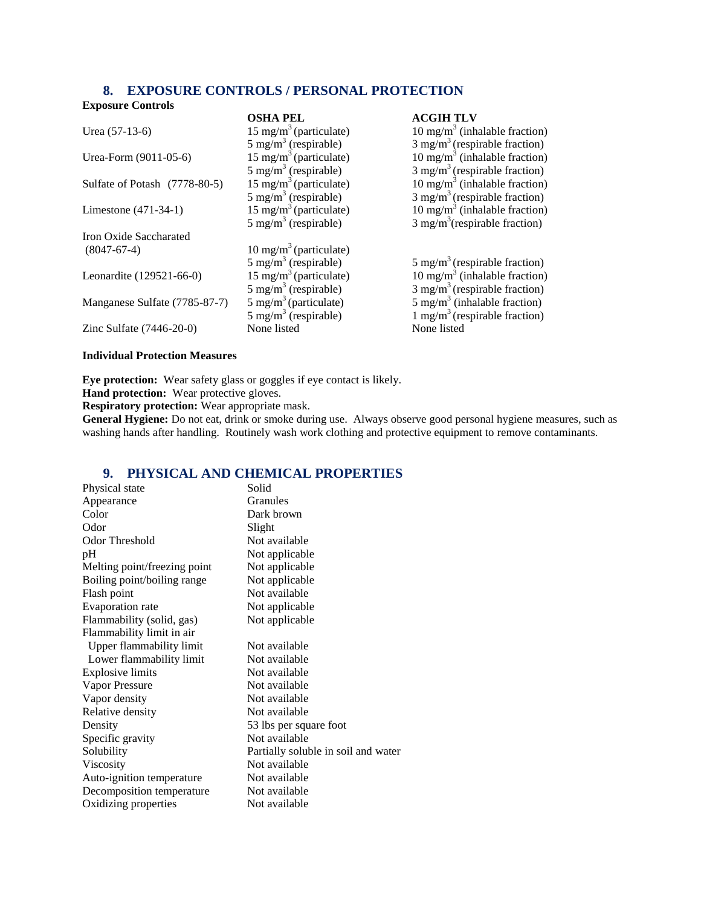# **8. EXPOSURE CONTROLS / PERSONAL PROTECTION**

#### **Exposure Controls**

| <b>Exposure</b> Controls      |                                    |                                             |
|-------------------------------|------------------------------------|---------------------------------------------|
|                               | <b>OSHA PEL</b>                    | <b>ACGIH TLV</b>                            |
| Urea $(57-13-6)$              | $15 \text{ mg/m}^3$ (particulate)  | 10 mg/m <sup>3</sup> (inhalable fraction)   |
|                               | $5 \text{ mg/m}^3$ (respirable)    | $3$ mg/m <sup>3</sup> (respirable fraction) |
| Urea-Form (9011-05-6)         | $15 \text{ mg/m}^3$ (particulate)  | 10 mg/m <sup>3</sup> (inhalable fraction)   |
|                               | $5 \text{ mg/m}^3$ (respirable)    | $3$ mg/m <sup>3</sup> (respirable fraction) |
| Sulfate of Potash (7778-80-5) | 15 mg/m <sup>3</sup> (particulate) | 10 mg/m <sup>3</sup> (inhalable fraction)   |
|                               | $5 \text{ mg/m}^3$ (respirable)    | $3$ mg/m <sup>3</sup> (respirable fraction) |
| Limestone $(471-34-1)$        | $15 \text{ mg/m}^3$ (particulate)  | 10 mg/m <sup>3</sup> (inhalable fraction)   |
|                               | $5 \text{ mg/m}^3$ (respirable)    | $3$ mg/m <sup>3</sup> (respirable fraction) |
| Iron Oxide Saccharated        |                                    |                                             |
| $(8047-67-4)$                 | $10 \text{ mg/m}^3$ (particulate)  |                                             |
|                               | $5 \text{ mg/m}^3$ (respirable)    | 5 mg/m <sup>3</sup> (respirable fraction)   |
| Leonardite (129521-66-0)      | 15 mg/m <sup>3</sup> (particulate) | 10 mg/m <sup>3</sup> (inhalable fraction)   |
|                               | $5 \text{ mg/m}^3$ (respirable)    | $3$ mg/m <sup>3</sup> (respirable fraction) |
| Manganese Sulfate (7785-87-7) | 5 mg/m <sup>3</sup> (particulate)  | 5 mg/m <sup>3</sup> (inhalable fraction)    |
|                               | $5 \text{ mg/m}^3$ (respirable)    | 1 mg/m <sup>3</sup> (respirable fraction)   |
| Zinc Sulfate $(7446-20-0)$    | None listed                        | None listed                                 |
|                               |                                    |                                             |

#### **Individual Protection Measures**

**Eye protection:** Wear safety glass or goggles if eye contact is likely.

**Hand protection:** Wear protective gloves.

**Respiratory protection:** Wear appropriate mask.

**General Hygiene:** Do not eat, drink or smoke during use. Always observe good personal hygiene measures, such as washing hands after handling. Routinely wash work clothing and protective equipment to remove contaminants.

# **9. PHYSICAL AND CHEMICAL PROPERTIES**

| Physical state               | Solid                               |
|------------------------------|-------------------------------------|
| Appearance                   | Granules                            |
| Color                        | Dark brown                          |
| Odor                         | Slight                              |
| Odor Threshold               | Not available                       |
| pH                           | Not applicable                      |
| Melting point/freezing point | Not applicable                      |
| Boiling point/boiling range  | Not applicable                      |
| Flash point                  | Not available                       |
| Evaporation rate             | Not applicable                      |
| Flammability (solid, gas)    | Not applicable                      |
| Flammability limit in air    |                                     |
| Upper flammability limit     | Not available                       |
| Lower flammability limit     | Not available                       |
| Explosive limits             | Not available                       |
| Vapor Pressure               | Not available                       |
| Vapor density                | Not available                       |
| Relative density             | Not available                       |
| Density                      | 53 lbs per square foot              |
| Specific gravity             | Not available                       |
| Solubility                   | Partially soluble in soil and water |
| Viscosity                    | Not available                       |
| Auto-ignition temperature    | Not available                       |
| Decomposition temperature    | Not available                       |
| Oxidizing properties         | Not available                       |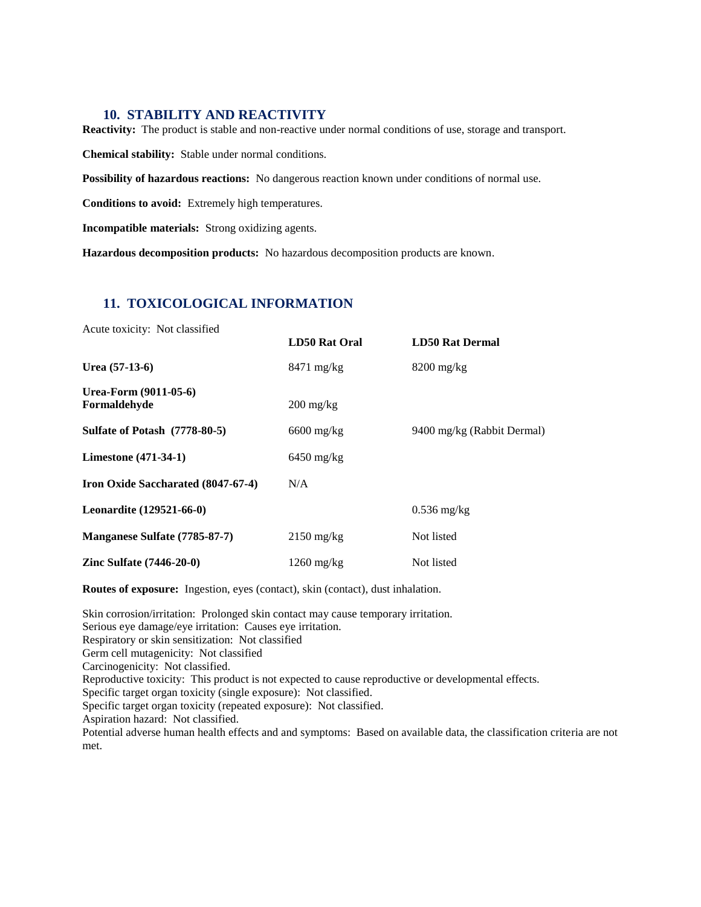#### **10. STABILITY AND REACTIVITY**

**Reactivity:** The product is stable and non-reactive under normal conditions of use, storage and transport.

**Chemical stability:** Stable under normal conditions.

**Possibility of hazardous reactions:** No dangerous reaction known under conditions of normal use.

**Conditions to avoid:** Extremely high temperatures.

**Incompatible materials:** Strong oxidizing agents.

**Hazardous decomposition products:** No hazardous decomposition products are known.

# **11. TOXICOLOGICAL INFORMATION**

| Acute toxicity: Not classified        |                                   |                            |
|---------------------------------------|-----------------------------------|----------------------------|
|                                       | LD50 Rat Oral                     | <b>LD50 Rat Dermal</b>     |
| Urea $(57-13-6)$                      | $8471 \text{ mg/kg}$              | $8200$ mg/kg               |
| Urea-Form (9011-05-6)<br>Formaldehyde | $200 \frac{\text{mg}}{\text{kg}}$ |                            |
| <b>Sulfate of Potash</b> (7778-80-5)  | $6600$ mg/kg                      | 9400 mg/kg (Rabbit Dermal) |
| <b>Limestone</b> (471-34-1)           | $6450$ mg/kg                      |                            |
| Iron Oxide Saccharated (8047-67-4)    | N/A                               |                            |
| <b>Leonardite</b> (129521-66-0)       |                                   | $0.536$ mg/kg              |
| Manganese Sulfate (7785-87-7)         | $2150 \text{ mg/kg}$              | Not listed                 |
| Zinc Sulfate $(7446-20-0)$            | $1260 \text{ mg/kg}$              | Not listed                 |

**Routes of exposure:** Ingestion, eyes (contact), skin (contact), dust inhalation.

Skin corrosion/irritation: Prolonged skin contact may cause temporary irritation. Serious eye damage/eye irritation: Causes eye irritation. Respiratory or skin sensitization: Not classified Germ cell mutagenicity: Not classified Carcinogenicity: Not classified. Reproductive toxicity: This product is not expected to cause reproductive or developmental effects. Specific target organ toxicity (single exposure): Not classified. Specific target organ toxicity (repeated exposure): Not classified. Aspiration hazard: Not classified. Potential adverse human health effects and and symptoms: Based on available data, the classification criteria are not met.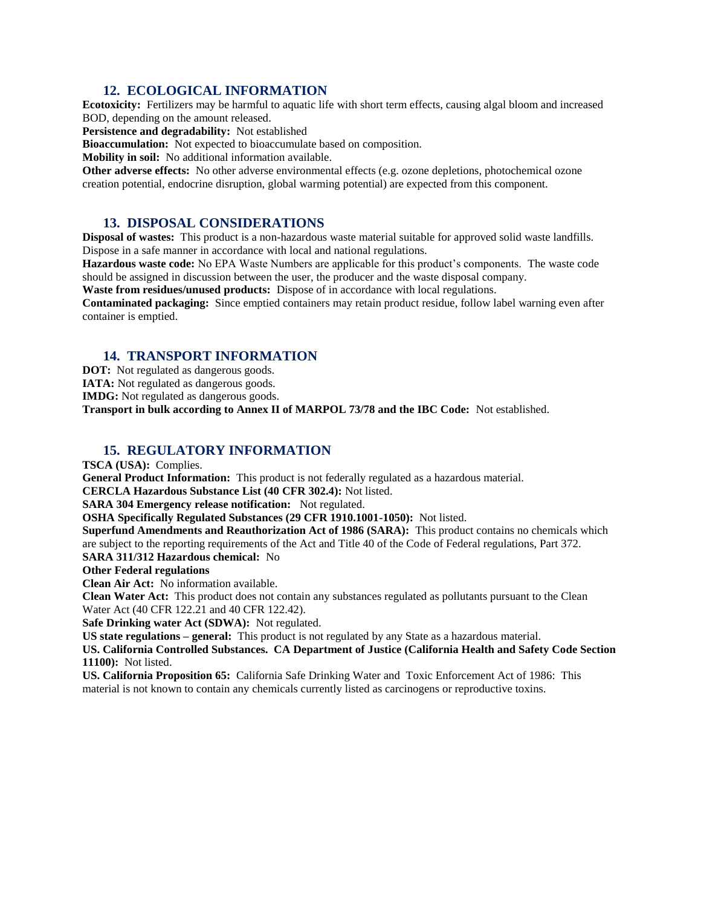# **12. ECOLOGICAL INFORMATION**

**Ecotoxicity:** Fertilizers may be harmful to aquatic life with short term effects, causing algal bloom and increased BOD, depending on the amount released.

**Persistence and degradability:** Not established

**Bioaccumulation:** Not expected to bioaccumulate based on composition.

**Mobility in soil:** No additional information available.

**Other adverse effects:** No other adverse environmental effects (e.g. ozone depletions, photochemical ozone creation potential, endocrine disruption, global warming potential) are expected from this component.

#### **13. DISPOSAL CONSIDERATIONS**

**Disposal of wastes:** This product is a non-hazardous waste material suitable for approved solid waste landfills. Dispose in a safe manner in accordance with local and national regulations.

**Hazardous waste code:** No EPA Waste Numbers are applicable for this product's components. The waste code should be assigned in discussion between the user, the producer and the waste disposal company.

**Waste from residues/unused products:** Dispose of in accordance with local regulations.

**Contaminated packaging:** Since emptied containers may retain product residue, follow label warning even after container is emptied.

#### **14. TRANSPORT INFORMATION**

**DOT:** Not regulated as dangerous goods.

**IATA:** Not regulated as dangerous goods.

**IMDG:** Not regulated as dangerous goods.

**Transport in bulk according to Annex II of MARPOL 73/78 and the IBC Code:** Not established.

#### **15. REGULATORY INFORMATION**

**TSCA (USA):** Complies.

**General Product Information:** This product is not federally regulated as a hazardous material.

**CERCLA Hazardous Substance List (40 CFR 302.4):** Not listed.

**SARA 304 Emergency release notification:** Not regulated.

**OSHA Specifically Regulated Substances (29 CFR 1910.1001-1050):** Not listed.

**Superfund Amendments and Reauthorization Act of 1986 (SARA):** This product contains no chemicals which are subject to the reporting requirements of the Act and Title 40 of the Code of Federal regulations, Part 372. **SARA 311/312 Hazardous chemical:** No

#### **Other Federal regulations**

**Clean Air Act:** No information available.

**Clean Water Act:** This product does not contain any substances regulated as pollutants pursuant to the Clean Water Act (40 CFR 122.21 and 40 CFR 122.42).

**Safe Drinking water Act (SDWA):** Not regulated.

**US state regulations – general:** This product is not regulated by any State as a hazardous material.

**US. California Controlled Substances. CA Department of Justice (California Health and Safety Code Section 11100):** Not listed.

**US. California Proposition 65:** California Safe Drinking Water and Toxic Enforcement Act of 1986: This material is not known to contain any chemicals currently listed as carcinogens or reproductive toxins.